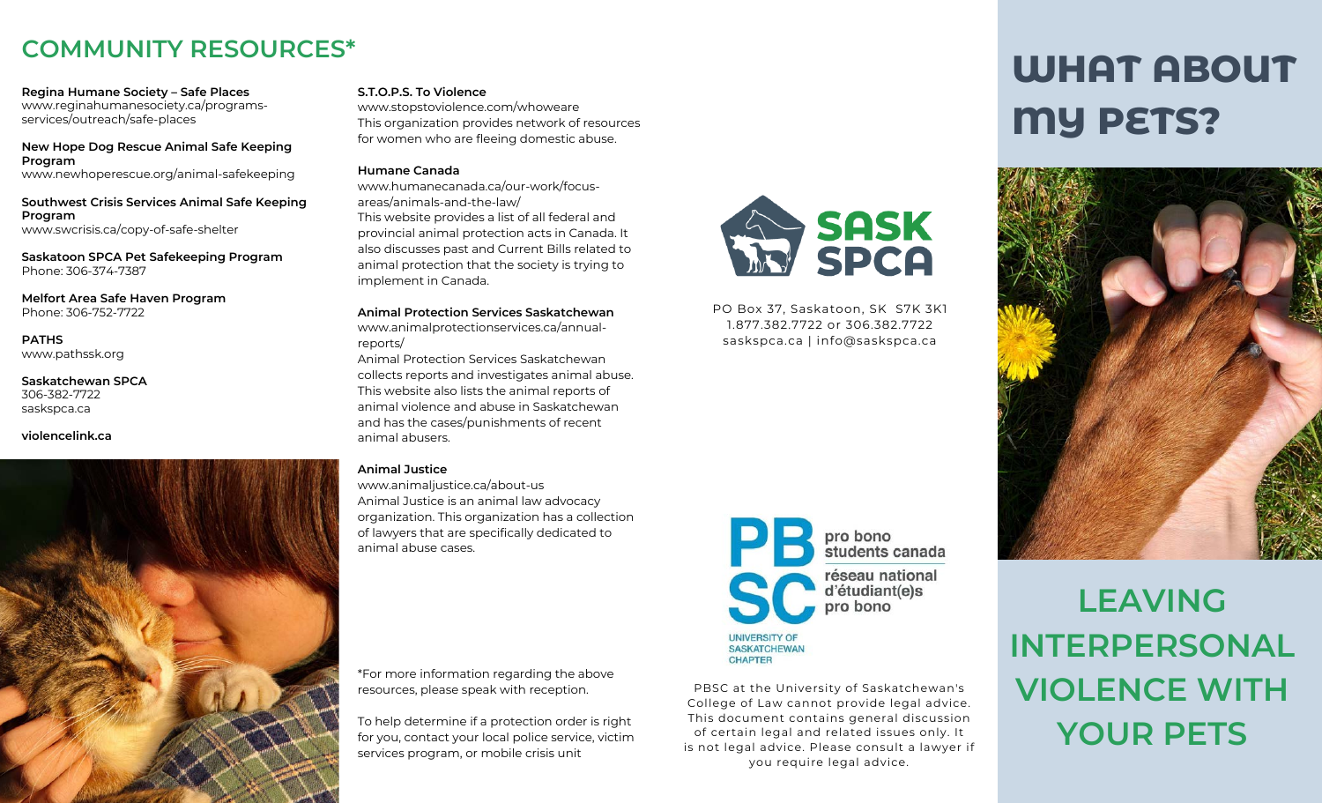## **COMMUNITY RESOURCES\***

**Regina Humane Society – Safe Places** www.reginahumanesociety.ca/programsservices/outreach/safe-places

**New Hope Dog Rescue Animal Safe Keeping Program** www.newhoperescue.org/animal-safekeeping

**Southwest Crisis Services Animal Safe Keeping Program** www.swcrisis.ca/copy-of-safe-shelter

**Saskatoon SPCA Pet Safekeeping Program** Phone: 306-374-7387

**Melfort Area Safe Haven Program** Phone: 306-752-7722

**PATHS** www.pathssk.org

**Saskatchewan SPCA** 306-382-7722 saskspca.ca

#### **violencelink.ca**



#### **S.T.O.P.S. To Violence**

www.stopstoviolence.com/whoweare This organization provides network of resources for women who are fleeing domestic abuse.

#### **Humane Canada**

www.humanecanada.ca/our-work/focusareas/animals-and-the-law/ This website provides a list of all federal and provincial animal protection acts in Canada. It also discusses past and Current Bills related to animal protection that the society is trying to implement in Canada.

**Animal Protection Services Saskatchewan** www.animalprotectionservices.ca/annualreports/

Animal Protection Services Saskatchewan collects reports and investigates animal abuse. This website also lists the animal reports of animal violence and abuse in Saskatchewan and has the cases/punishments of recent animal abusers.

#### **Animal Justice**

www.animaljustice.ca/about-us Animal Justice is an animal law advocacy organization. This organization has a collection of lawyers that are specifically dedicated to animal abuse cases.

\*For more information regarding the above resources, please speak with reception.

To help determine if a protection order is right for you, contact your local police service, victim services program, or mobile crisis unit



PO Box 37, Saskatoon, SK S7K 3K1 1.877.382.7722 or 306.382.7722 saskspca.ca | info@saskspca.ca



PBSC at the University of Saskatchewan's College of Law cannot provide legal advice. This document contains general discussion of certain legal and related issues only. It is not legal advice. Please consult a lawyer if you require legal advice.

# **WHAT ABOUT MY PETS?**



**LEAVING INTERPERSONAL VIOLENCE WITH YOUR PETS**